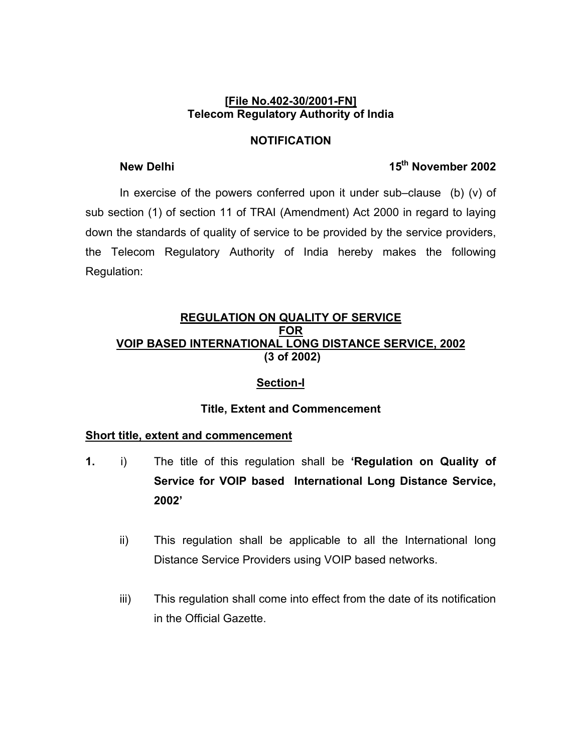#### **[File No.402-30/2001-FN] Telecom Regulatory Authority of India**

#### **NOTIFICATION**

## **New Delhi** 15<sup>th</sup> November 2002

 In exercise of the powers conferred upon it under sub–clause (b) (v) of sub section (1) of section 11 of TRAI (Amendment) Act 2000 in regard to laying down the standards of quality of service to be provided by the service providers, the Telecom Regulatory Authority of India hereby makes the following Regulation:

#### **REGULATION ON QUALITY OF SERVICE FOR VOIP BASED INTERNATIONAL LONG DISTANCE SERVICE, 2002 (3 of 2002)**

## **Section-I**

## **Title, Extent and Commencement**

#### **Short title, extent and commencement**

- **1.** i) The title of this regulation shall be **'Regulation on Quality of Service for VOIP based International Long Distance Service, 2002'** 
	- ii) This regulation shall be applicable to all the International long Distance Service Providers using VOIP based networks.
	- iii) This regulation shall come into effect from the date of its notification in the Official Gazette.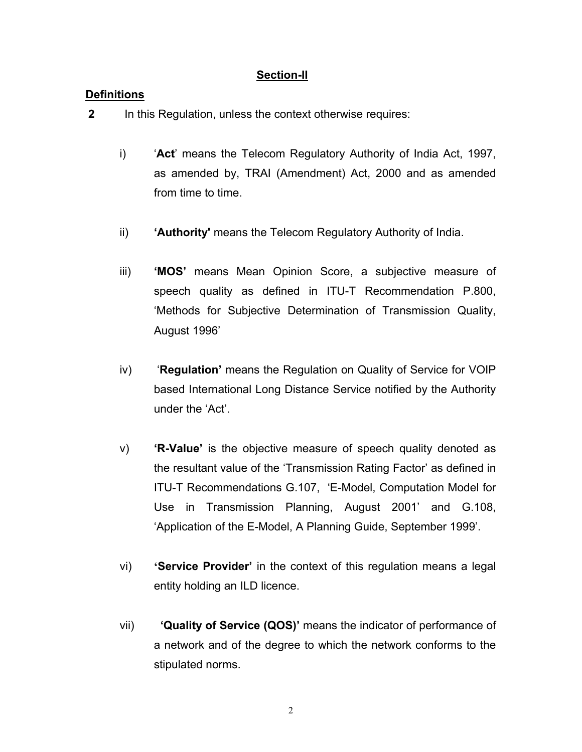#### **Section-II**

## **Definitions**

- **2** In this Regulation, unless the context otherwise requires:
	- i) '**Act**' means the Telecom Regulatory Authority of India Act, 1997, as amended by, TRAI (Amendment) Act, 2000 and as amended from time to time.
	- ii) **'Authority'** means the Telecom Regulatory Authority of India.
	- iii) **'MOS'** means Mean Opinion Score, a subjective measure of speech quality as defined in ITU-T Recommendation P.800, 'Methods for Subjective Determination of Transmission Quality, August 1996'
	- iv) '**Regulation'** means the Regulation on Quality of Service for VOIP based International Long Distance Service notified by the Authority under the 'Act'.
	- v) **'R-Value'** is the objective measure of speech quality denoted as the resultant value of the 'Transmission Rating Factor' as defined in ITU-T Recommendations G.107, 'E-Model, Computation Model for Use in Transmission Planning, August 2001' and G.108, 'Application of the E-Model, A Planning Guide, September 1999'.
	- vi) **'Service Provider'** in the context of this regulation means a legal entity holding an ILD licence.
	- vii) **'Quality of Service (QOS)'** means the indicator of performance of a network and of the degree to which the network conforms to the stipulated norms.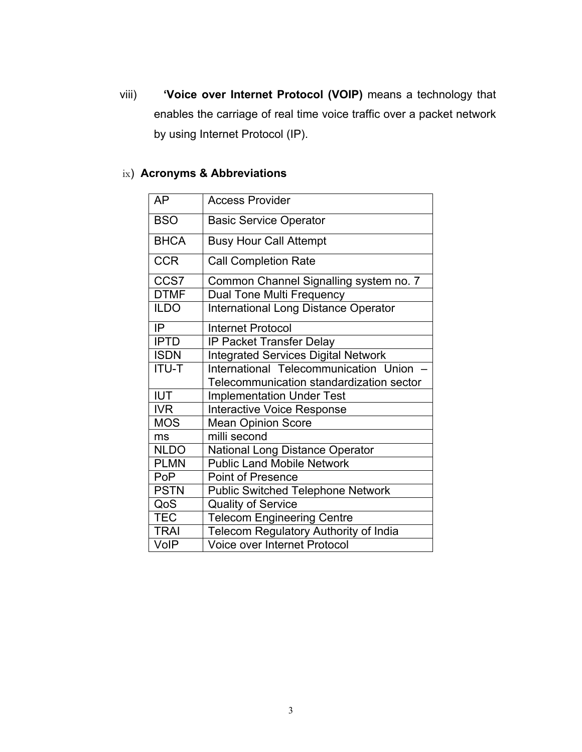viii) **'Voice over Internet Protocol (VOIP)** means a technology that enables the carriage of real time voice traffic over a packet network by using Internet Protocol (IP).

# AP Access Provider BSO Basic Service Operator BHCA | Busy Hour Call Attempt CCR | Call Completion Rate CCS7 | Common Channel Signalling system no. 7 DTMF Dual Tone Multi Frequency ILDO | International Long Distance Operator IP Internet Protocol IPTD | IP Packet Transfer Delay ISDN Integrated Services Digital Network ITU-T International Telecommunication Union – Telecommunication standardization sector **IUT** | Implementation Under Test IVR | Interactive Voice Response MOS | Mean Opinion Score ms milli second NLDO | National Long Distance Operator PLMN Public Land Mobile Network PoP Point of Presence PSTN | Public Switched Telephone Network QoS | Quality of Service TEC | Telecom Engineering Centre TRAI | Telecom Regulatory Authority of India VoIP Voice over Internet Protocol

#### ix) **Acronyms & Abbreviations**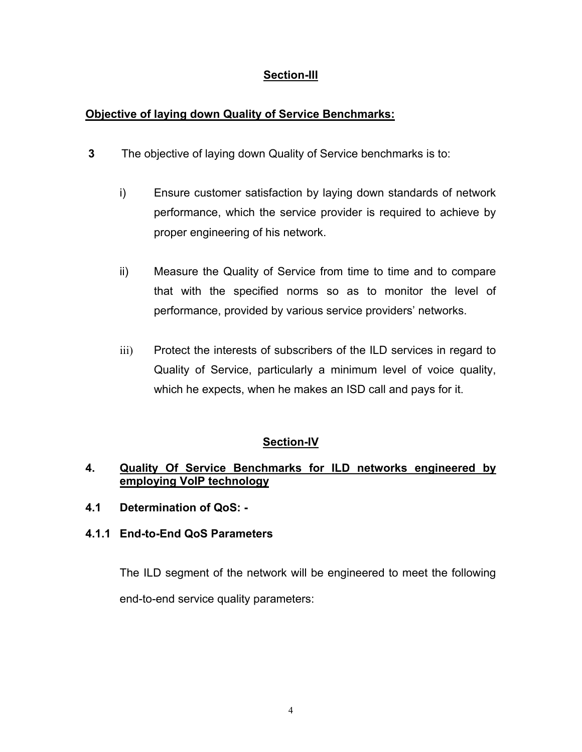# **Section-III**

# **Objective of laying down Quality of Service Benchmarks:**

- **3** The objective of laying down Quality of Service benchmarks is to:
	- i) Ensure customer satisfaction by laying down standards of network performance, which the service provider is required to achieve by proper engineering of his network.
	- ii) Measure the Quality of Service from time to time and to compare that with the specified norms so as to monitor the level of performance, provided by various service providers' networks.
	- iii) Protect the interests of subscribers of the ILD services in regard to Quality of Service, particularly a minimum level of voice quality, which he expects, when he makes an ISD call and pays for it.

# **Section-IV**

# **4. Quality Of Service Benchmarks for ILD networks engineered by employing VoIP technology**

## **4.1 Determination of QoS: -**

## **4.1.1 End-to-End QoS Parameters**

The ILD segment of the network will be engineered to meet the following end-to-end service quality parameters: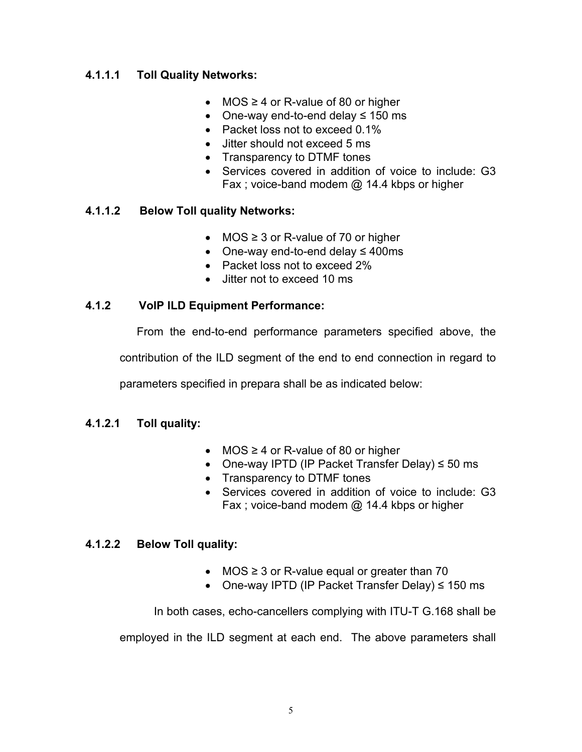## **4.1.1.1 Toll Quality Networks:**

- MOS  $\geq$  4 or R-value of 80 or higher
- One-way end-to-end delay ≤ 150 ms
- Packet loss not to exceed 0.1%
- Jitter should not exceed 5 ms
- Transparency to DTMF tones
- Services covered in addition of voice to include: G3 Fax ; voice-band modem @ 14.4 kbps or higher

## **4.1.1.2 Below Toll quality Networks:**

- MOS  $\geq$  3 or R-value of 70 or higher
- One-way end-to-end delay ≤ 400ms
- Packet loss not to exceed 2%
- Jitter not to exceed 10 ms

#### **4.1.2 VoIP ILD Equipment Performance:**

From the end-to-end performance parameters specified above, the

contribution of the ILD segment of the end to end connection in regard to

parameters specified in prepara shall be as indicated below:

## **4.1.2.1 Toll quality:**

- MOS  $\geq$  4 or R-value of 80 or higher
- One-way IPTD (IP Packet Transfer Delay) ≤ 50 ms
- Transparency to DTMF tones
- Services covered in addition of voice to include: G3 Fax ; voice-band modem @ 14.4 kbps or higher

#### **4.1.2.2 Below Toll quality:**

- MOS  $\geq$  3 or R-value equal or greater than 70
- One-way IPTD (IP Packet Transfer Delay) ≤ 150 ms

In both cases, echo-cancellers complying with ITU-T G.168 shall be

employed in the ILD segment at each end. The above parameters shall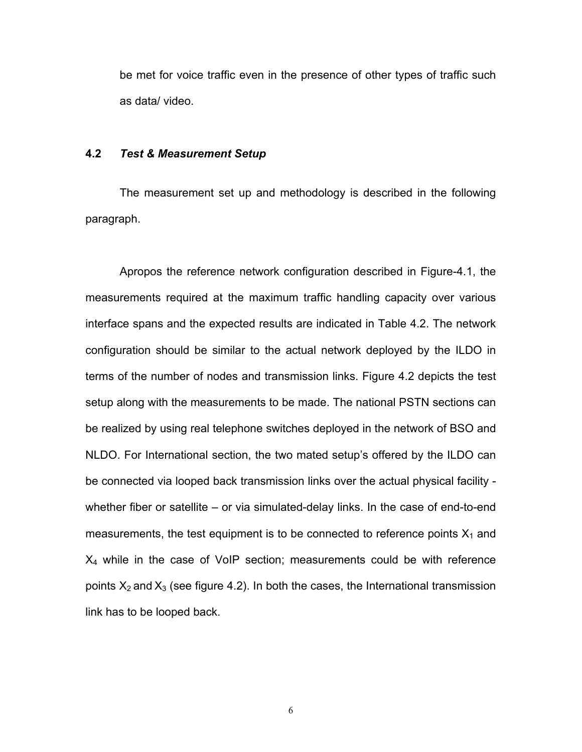be met for voice traffic even in the presence of other types of traffic such as data/ video.

#### **4.2** *Test & Measurement Setup*

The measurement set up and methodology is described in the following paragraph.

Apropos the reference network configuration described in Figure-4.1, the measurements required at the maximum traffic handling capacity over various interface spans and the expected results are indicated in Table 4.2. The network configuration should be similar to the actual network deployed by the ILDO in terms of the number of nodes and transmission links. Figure 4.2 depicts the test setup along with the measurements to be made. The national PSTN sections can be realized by using real telephone switches deployed in the network of BSO and NLDO. For International section, the two mated setup's offered by the ILDO can be connected via looped back transmission links over the actual physical facility whether fiber or satellite – or via simulated-delay links. In the case of end-to-end measurements, the test equipment is to be connected to reference points  $X_1$  and  $X<sub>4</sub>$  while in the case of VoIP section; measurements could be with reference points  $X_2$  and  $X_3$  (see figure 4.2). In both the cases, the International transmission link has to be looped back.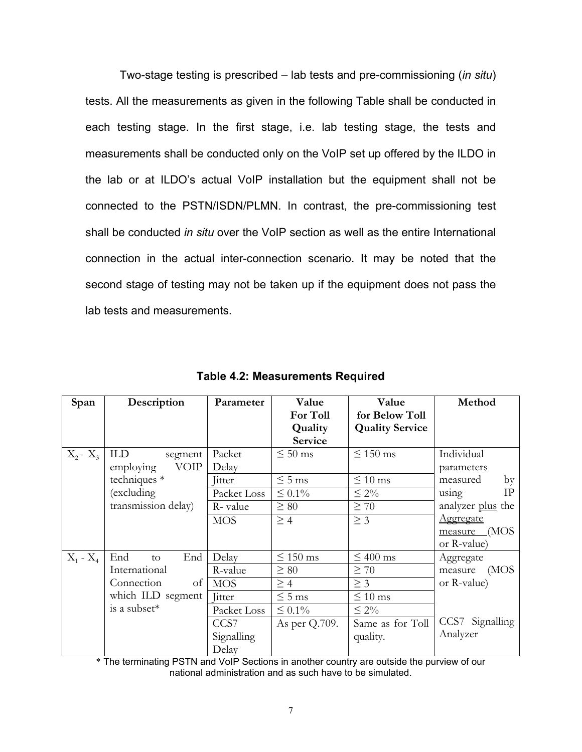Two-stage testing is prescribed – lab tests and pre-commissioning (*in situ*) tests. All the measurements as given in the following Table shall be conducted in each testing stage. In the first stage, i.e. lab testing stage, the tests and measurements shall be conducted only on the VoIP set up offered by the ILDO in the lab or at ILDO's actual VoIP installation but the equipment shall not be connected to the PSTN/ISDN/PLMN. In contrast, the pre-commissioning test shall be conducted *in situ* over the VoIP section as well as the entire International connection in the actual inter-connection scenario. It may be noted that the second stage of testing may not be taken up if the equipment does not pass the lab tests and measurements.

| Span          | Description              | Parameter     | Value         | Value                  | Method            |
|---------------|--------------------------|---------------|---------------|------------------------|-------------------|
|               |                          |               | For Toll      | for Below Toll         |                   |
|               |                          |               | Quality       | <b>Quality Service</b> |                   |
|               |                          |               | Service       |                        |                   |
| $X_2$ - $X_3$ | ILD<br>segment           | Packet        | $\leq 50$ ms  | $\leq 150$ ms          | Individual        |
|               | <b>VOIP</b><br>employing | Delay         |               |                        | parameters        |
|               | techniques <sup>*</sup>  | litter        | $\leq 5$ ms   | $\leq 10$ ms           | measured<br>by    |
|               | (excluding               | Packet Loss   | $\leq 0.1\%$  | $\leq 2\%$             | IP<br>using       |
|               | transmission delay)      | R-value       | $\geq 80$     | $\geq 70$              | analyzer plus the |
|               |                          | <b>MOS</b>    | $\geq 4$      | $\geq$ 3               | <u>Aggregate</u>  |
|               |                          |               |               |                        | measure (MOS      |
|               |                          |               |               |                        | or R-value)       |
| $X_1 - X_4$   | End<br>End<br>to         | Delay         | $\leq 150$ ms | $\leq 400$ ms          | Aggregate         |
|               | International            | R-value       | $\geq 80$     | $\geq 70$              | (MOS<br>measure   |
|               | Connection<br>of         | <b>MOS</b>    | $\geq 4$      | $\geq$ 3               | or R-value)       |
|               | which ILD segment        | <b>litter</b> | $\leq 5$ ms   | $\leq 10$ ms           |                   |
|               | is a subset*             | Packet Loss   | $\leq 0.1\%$  | $\leq 2\%$             |                   |
|               |                          | CCS7          | As per Q.709. | Same as for Toll       | CCS7 Signalling   |
|               |                          | Signalling    |               | quality.               | Analyzer          |
|               |                          | Delay         |               |                        |                   |

**Table 4.2: Measurements Required** 

\* The terminating PSTN and VoIP Sections in another country are outside the purview of our national administration and as such have to be simulated.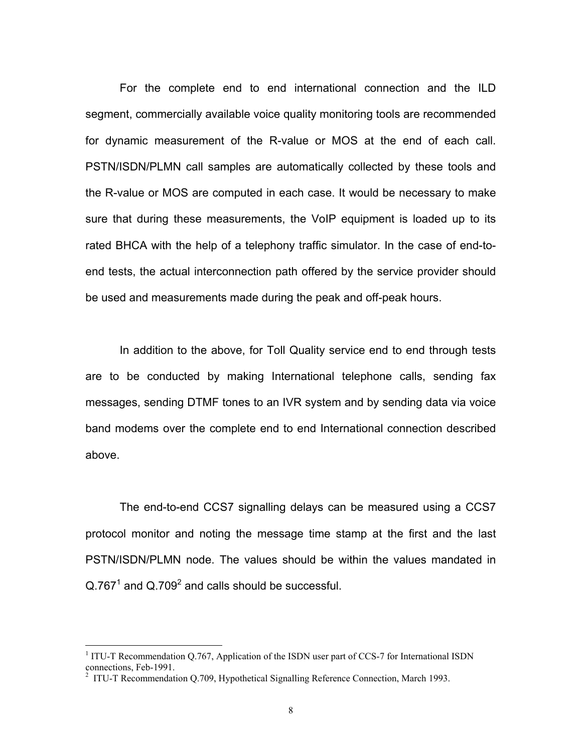For the complete end to end international connection and the ILD segment, commercially available voice quality monitoring tools are recommended for dynamic measurement of the R-value or MOS at the end of each call. PSTN/ISDN/PLMN call samples are automatically collected by these tools and the R-value or MOS are computed in each case. It would be necessary to make sure that during these measurements, the VoIP equipment is loaded up to its rated BHCA with the help of a telephony traffic simulator. In the case of end-toend tests, the actual interconnection path offered by the service provider should be used and measurements made during the peak and off-peak hours.

In addition to the above, for Toll Quality service end to end through tests are to be conducted by making International telephone calls, sending fax messages, sending DTMF tones to an IVR system and by sending data via voice band modems over the complete end to end International connection described above.

The end-to-end CCS7 signalling delays can be measured using a CCS7 protocol monitor and noting the message time stamp at the first and the last PSTN/ISDN/PLMN node. The values should be within the values mandated in Q.767<sup>1</sup> and Q.709<sup>2</sup> and calls should be successful.

1

<sup>&</sup>lt;sup>1</sup> ITU-T Recommendation Q.767, Application of the ISDN user part of CCS-7 for International ISDN connections, Feb-1991.

<sup>&</sup>lt;sup>2</sup> ITU-T Recommendation Q.709, Hypothetical Signalling Reference Connection, March 1993.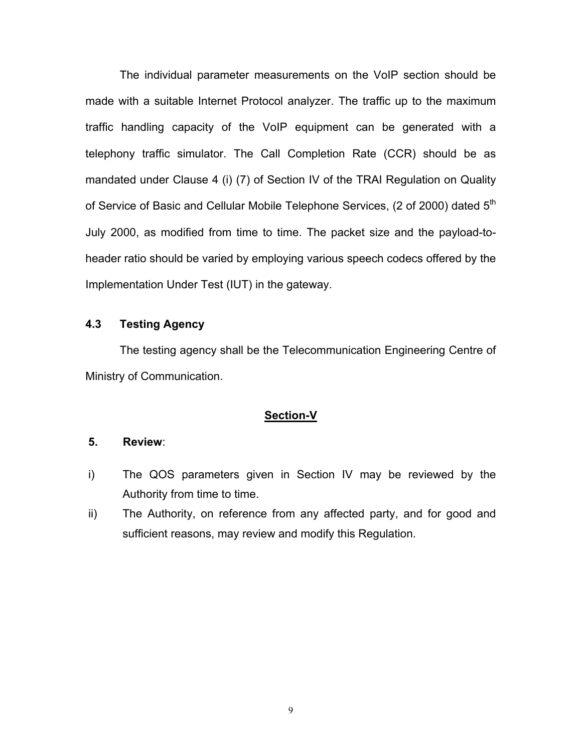The individual parameter measurements on the VoIP section should be made with a suitable Internet Protocol analyzer. The traffic up to the maximum traffic handling capacity of the VoIP equipment can be generated with a telephony traffic simulator. The Call Completion Rate (CCR) should be as mandated under Clause 4 (i) (7) of Section IV of the TRAI Regulation on Quality of Service of Basic and Cellular Mobile Telephone Services, (2 of 2000) dated 5<sup>th</sup> July 2000, as modified from time to time. The packet size and the payload-toheader ratio should be varied by employing various speech codecs offered by the Implementation Under Test (IUT) in the gateway.

#### **4.3 Testing Agency**

 The testing agency shall be the Telecommunication Engineering Centre of Ministry of Communication.

#### **Section-V**

#### **5. Review**:

- i) The QOS parameters given in Section IV may be reviewed by the Authority from time to time.
- ii) The Authority, on reference from any affected party, and for good and sufficient reasons, may review and modify this Regulation.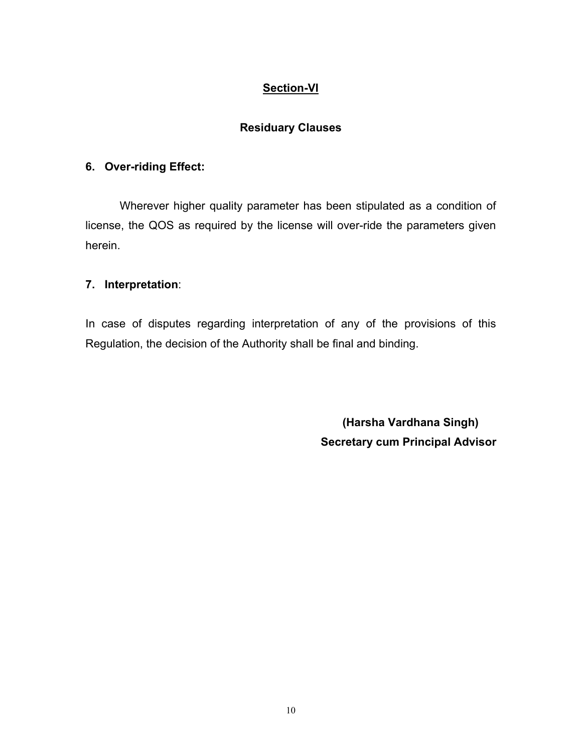# **Section-VI**

## **Residuary Clauses**

#### **6. Over-riding Effect:**

Wherever higher quality parameter has been stipulated as a condition of license, the QOS as required by the license will over-ride the parameters given herein.

#### **7. Interpretation**:

In case of disputes regarding interpretation of any of the provisions of this Regulation, the decision of the Authority shall be final and binding.

> **(Harsha Vardhana Singh) Secretary cum Principal Advisor**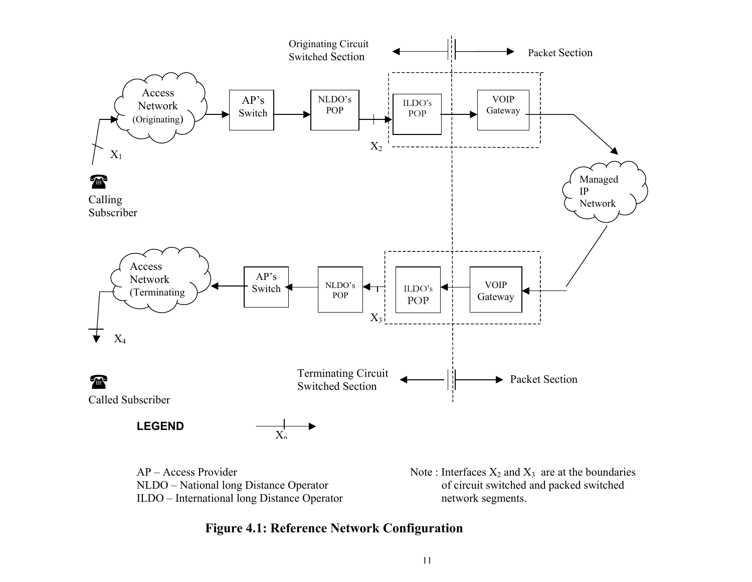

ILDO – International long Distance Operator network segments.

 $AP - Access \text{{{\color{red}P}}$  Access Provider Note : Interfaces  $X_2$  and  $X_3$  are at the boundaries NLDO – National long Distance Operator of circuit switched and packed switched

## **Figure 4.1: Reference Network Configuration**